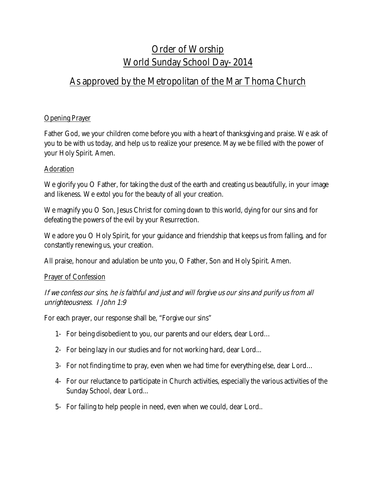# Order of Worship World Sunday School Day- 2014

# As approved by the Metropolitan of the Mar Thoma Church

## Opening Prayer

Father God, we your children come before you with a heart of thanksgiving and praise. We ask of you to be with us today, and help us to realize your presence. May we be filled with the power of your Holy Spirit. Amen.

### Adoration

We glorify you O Father, for taking the dust of the earth and creating us beautifully, in your image and likeness. We extol you for the beauty of all your creation.

We magnify you O Son, Jesus Christ for coming down to this world, dying for our sins and for defeating the powers of the evil by your Resurrection.

We adore you O Holy Spirit, for your guidance and friendship that keeps us from falling, and for constantly renewing us, your creation.

All praise, honour and adulation be unto you, O Father, Son and Holy Spirit. Amen.

### Prayer of Confession

If we confess our sins, he is faithful and just and will forgive us our sins and purify us from all unrighteousness. I John 1:9

For each prayer, our response shall be, "Forgive our sins"

- 1- For being disobedient to you, our parents and our elders, dear Lord…
- 2- For being lazy in our studies and for not working hard, dear Lord...
- 3- For not finding time to pray, even when we had time for everything else, dear Lord…
- 4- For our reluctance to participate in Church activities, especially the various activities of the Sunday School, dear Lord...
- 5- For failing to help people in need, even when we could, dear Lord..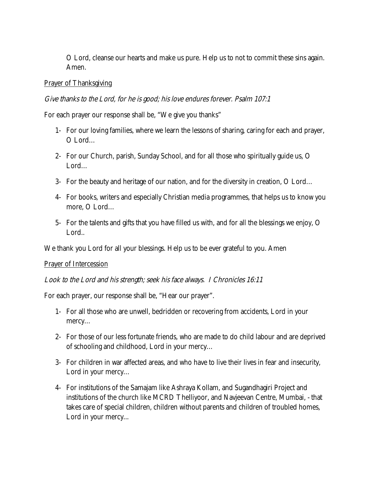O Lord, cleanse our hearts and make us pure. Help us to not to commit these sins again. Amen.

#### Prayer of Thanksgiving

#### Give thanks to the Lord, for he is good; his love endures forever. Psalm 107:1

For each prayer our response shall be, "We give you thanks"

- 1- For our loving families, where we learn the lessons of sharing, caring for each and prayer, O Lord…
- 2- For our Church, parish, Sunday School, and for all those who spiritually guide us, O Lord…
- 3- For the beauty and heritage of our nation, and for the diversity in creation, O Lord…
- 4- For books, writers and especially Christian media programmes, that helps us to know you more, O Lord…
- 5- For the talents and gifts that you have filled us with, and for all the blessings we enjoy, O Lord..

We thank you Lord for all your blessings. Help us to be ever grateful to you. Amen

#### Prayer of Intercession

#### Look to the Lord and his strength; seek his face always. I Chronicles 16:11

For each prayer, our response shall be, "Hear our prayer".

- 1- For all those who are unwell, bedridden or recovering from accidents, Lord in your mercy…
- 2- For those of our less fortunate friends, who are made to do child labour and are deprived of schooling and childhood, Lord in your mercy…
- 3- For children in war affected areas, and who have to live their lives in fear and insecurity, Lord in your mercy…
- 4- For institutions of the Samajam like Ashraya Kollam, and Sugandhagiri Project and institutions of the church like MCRD Thelliyoor, and Navjeevan Centre, Mumbai, - that takes care of special children, children without parents and children of troubled homes, Lord in your mercy...